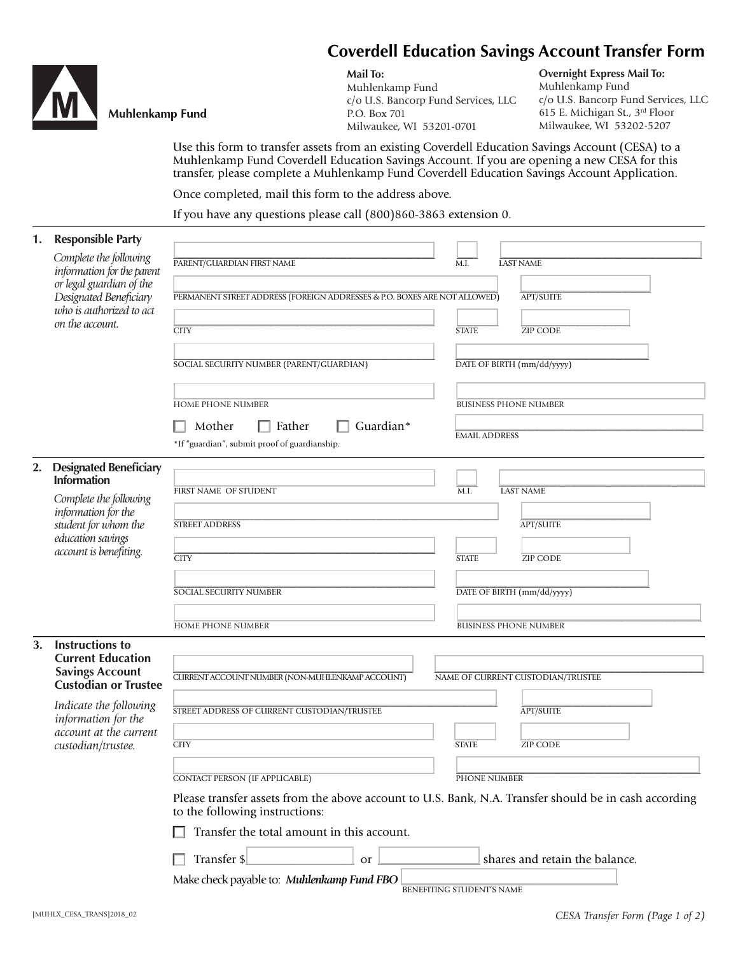



# **Muhlenkamp Fund**

**Mail To:** Muhlenkamp Fund c/o U.S. Bancorp Fund Services, LLC P.O. Box 701

Milwaukee, WI 53201-0701

**Overnight Express Mail To:** Muhlenkamp Fund c/o U.S. Bancorp Fund Services, LLC 615 E. Michigan St., 3rd Floor Milwaukee, WI 53202-5207

Use this form to transfer assets from an existing Coverdell Education Savings Account (CESA) to a Muhlenkamp Fund Coverdell Education Savings Account. If you are opening a new CESA for this transfer, please complete a Muhlenkamp Fund Coverdell Education Savings Account Application.

Once completed, mail this form to the address above.

If you have any questions please call (800)860-3863 extension 0.

| 1. | <b>Responsible Party</b>                                                                                                               |                                                                                                                                         |                                   |
|----|----------------------------------------------------------------------------------------------------------------------------------------|-----------------------------------------------------------------------------------------------------------------------------------------|-----------------------------------|
|    | Complete the following<br>information for the parent<br>or legal guardian of the<br>Designated Beneficiary<br>who is authorized to act | PARENT/GUARDIAN FIRST NAME                                                                                                              | <b>LAST NAME</b><br>M.I.          |
|    |                                                                                                                                        | PERMANENT STREET ADDRESS (FOREIGN ADDRESSES & P.O. BOXES ARE NOT ALLOWED)                                                               | <b>APT/SUITE</b>                  |
|    | on the account.                                                                                                                        | <b>CITY</b>                                                                                                                             | <b>ZIP CODE</b><br><b>STATE</b>   |
|    |                                                                                                                                        | SOCIAL SECURITY NUMBER (PARENT/GUARDIAN)                                                                                                | DATE OF BIRTH (mm/dd/yyyy)        |
|    |                                                                                                                                        | HOME PHONE NUMBER                                                                                                                       | <b>BUSINESS PHONE NUMBER</b>      |
|    |                                                                                                                                        | Mother<br>Guardian*<br>Father<br>*If "guardian", submit proof of guardianship.                                                          | <b>EMAIL ADDRESS</b>              |
| 2. | <b>Designated Beneficiary</b><br><b>Information</b>                                                                                    |                                                                                                                                         |                                   |
|    | Complete the following<br>information for the<br>student for whom the<br>education savings<br>account is benefiting.                   | FIRST NAME OF STUDENT                                                                                                                   | <b>LAST NAME</b><br>M.I.          |
|    |                                                                                                                                        | <b>STREET ADDRESS</b>                                                                                                                   | <b>APT/SUITE</b>                  |
|    |                                                                                                                                        | <b>CITY</b>                                                                                                                             | <b>STATE</b><br><b>ZIP CODE</b>   |
|    |                                                                                                                                        | SOCIAL SECURITY NUMBER                                                                                                                  | DATE OF BIRTH (mm/dd/yyyy)        |
|    |                                                                                                                                        | HOME PHONE NUMBER                                                                                                                       | <b>BUSINESS PHONE NUMBER</b>      |
| 3. | Instructions to<br><b>Current Education</b>                                                                                            |                                                                                                                                         |                                   |
|    | <b>Savings Account</b><br><b>Custodian or Trustee</b>                                                                                  | <b>CURRENT ACCOUNT NUMBER (NON-MUHLENKAMP ACCOUNT)</b>                                                                                  | NAME OF CURRENT CUSTODIAN/TRUSTEE |
|    | Indicate the following<br>information for the<br>account at the current<br>custodian/trustee.                                          | STREET ADDRESS OF CURRENT CUSTODIAN/TRUSTEE                                                                                             | <b>APT/SUITE</b>                  |
|    |                                                                                                                                        | <b>CITY</b>                                                                                                                             | <b>STATE</b><br><b>ZIP CODE</b>   |
|    |                                                                                                                                        | CONTACT PERSON (IF APPLICABLE)                                                                                                          | PHONE NUMBER                      |
|    |                                                                                                                                        | Please transfer assets from the above account to U.S. Bank, N.A. Transfer should be in cash according<br>to the following instructions: |                                   |
|    |                                                                                                                                        | Transfer the total amount in this account.                                                                                              |                                   |
|    |                                                                                                                                        | Transfer \$<br>or                                                                                                                       | shares and retain the balance.    |
|    |                                                                                                                                        | Make check payable to: Muhlenkamp Fund FBO                                                                                              | BENEFITING STUDENT'S NAME         |